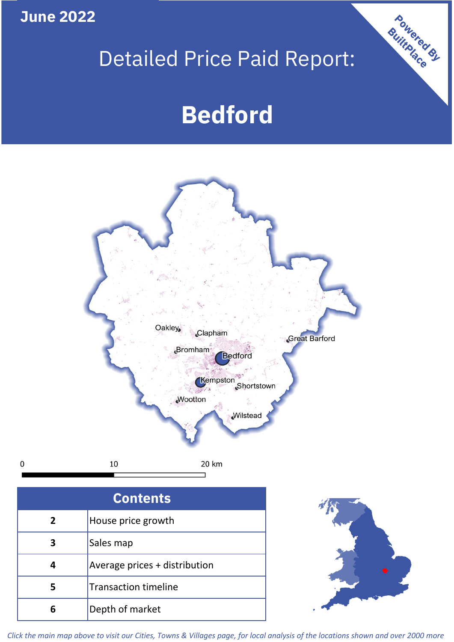**June 2022**

 $\mathbf 0$ 

# Detailed Price Paid Report:

# **Bedford**



| <b>Contents</b> |                               |  |  |  |
|-----------------|-------------------------------|--|--|--|
| $\overline{2}$  | House price growth            |  |  |  |
|                 | Sales map                     |  |  |  |
|                 | Average prices + distribution |  |  |  |
| 5               | <b>Transaction timeline</b>   |  |  |  |
| ĥ               | Depth of market               |  |  |  |



Powered By

*Click the main map above to visit our Cities, Towns & Villages page, for local analysis of the locations shown and over 2000 more*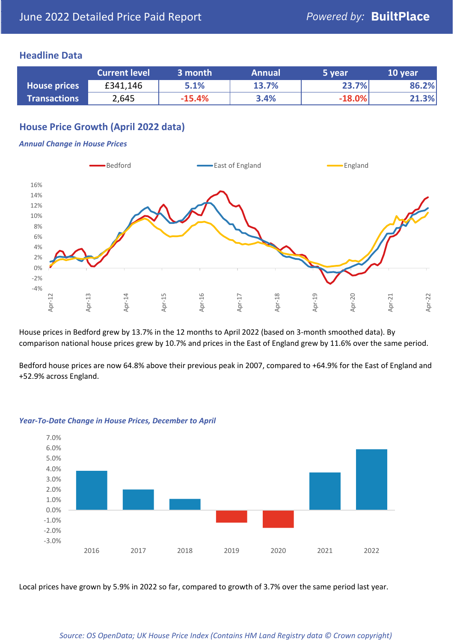#### **Headline Data**

|                     | <b>Current level</b> | 3 month  | <b>Annual</b> | 5 year   | 10 year |
|---------------------|----------------------|----------|---------------|----------|---------|
| <b>House prices</b> | £341,146             | 5.1%     | 13.7%         | 23.7%    | 86.2%   |
| <b>Transactions</b> | 2,645                | $-15.4%$ | 3.4%          | $-18.0%$ | 21.3%   |

# **House Price Growth (April 2022 data)**

#### *Annual Change in House Prices*



House prices in Bedford grew by 13.7% in the 12 months to April 2022 (based on 3-month smoothed data). By comparison national house prices grew by 10.7% and prices in the East of England grew by 11.6% over the same period.

Bedford house prices are now 64.8% above their previous peak in 2007, compared to +64.9% for the East of England and +52.9% across England.



#### *Year-To-Date Change in House Prices, December to April*

Local prices have grown by 5.9% in 2022 so far, compared to growth of 3.7% over the same period last year.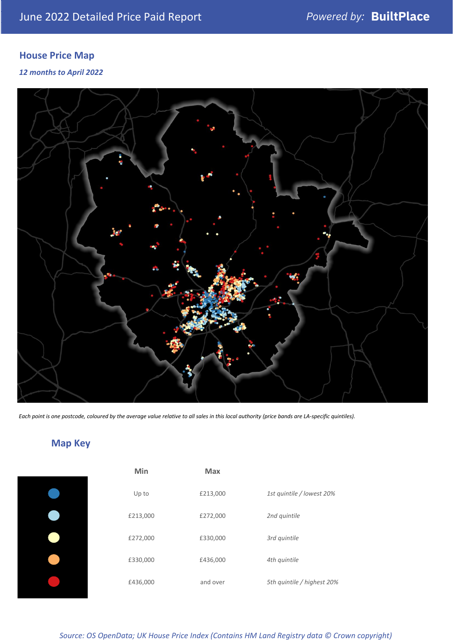# **House Price Map**

*12 months to April 2022*



*Each point is one postcode, coloured by the average value relative to all sales in this local authority (price bands are LA-specific quintiles).*

# **Map Key**

| Min      | <b>Max</b> |                            |
|----------|------------|----------------------------|
| Up to    | £213,000   | 1st quintile / lowest 20%  |
| £213,000 | £272,000   | 2nd quintile               |
| £272,000 | £330,000   | 3rd quintile               |
| £330,000 | £436,000   | 4th quintile               |
| £436,000 | and over   | 5th quintile / highest 20% |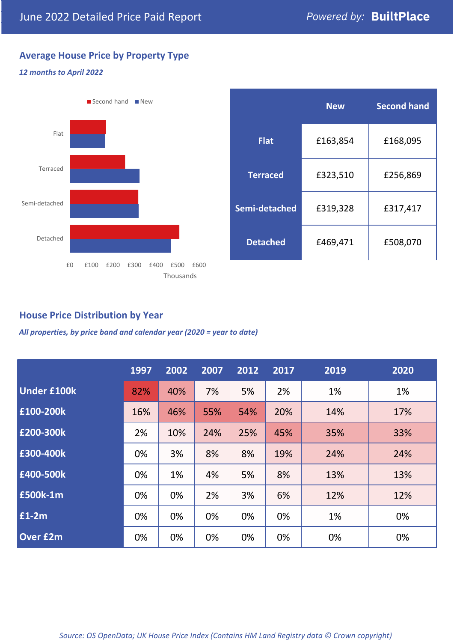# **Average House Price by Property Type**

#### *12 months to April 2022*



|                 | <b>New</b> | <b>Second hand</b> |  |  |
|-----------------|------------|--------------------|--|--|
| <b>Flat</b>     | £163,854   | £168,095           |  |  |
| <b>Terraced</b> | £323,510   | £256,869           |  |  |
| Semi-detached   | £319,328   | £317,417           |  |  |
| <b>Detached</b> | £469,471   | £508,070           |  |  |

## **House Price Distribution by Year**

*All properties, by price band and calendar year (2020 = year to date)*

|                    | 1997 | 2002 | 2007 | 2012 | 2017 | 2019 | 2020 |
|--------------------|------|------|------|------|------|------|------|
| <b>Under £100k</b> | 82%  | 40%  | 7%   | 5%   | 2%   | 1%   | 1%   |
| £100-200k          | 16%  | 46%  | 55%  | 54%  | 20%  | 14%  | 17%  |
| E200-300k          | 2%   | 10%  | 24%  | 25%  | 45%  | 35%  | 33%  |
| £300-400k          | 0%   | 3%   | 8%   | 8%   | 19%  | 24%  | 24%  |
| £400-500k          | 0%   | 1%   | 4%   | 5%   | 8%   | 13%  | 13%  |
| <b>£500k-1m</b>    | 0%   | 0%   | 2%   | 3%   | 6%   | 12%  | 12%  |
| £1-2m              | 0%   | 0%   | 0%   | 0%   | 0%   | 1%   | 0%   |
| <b>Over £2m</b>    | 0%   | 0%   | 0%   | 0%   | 0%   | 0%   | 0%   |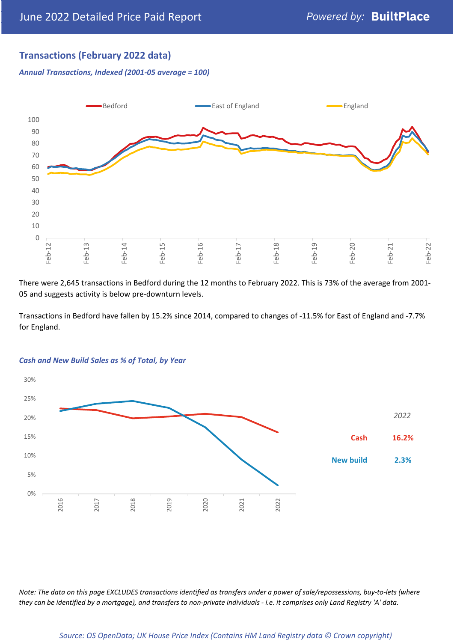# **Transactions (February 2022 data)**

*Annual Transactions, Indexed (2001-05 average = 100)*



There were 2,645 transactions in Bedford during the 12 months to February 2022. This is 73% of the average from 2001- 05 and suggests activity is below pre-downturn levels.

Transactions in Bedford have fallen by 15.2% since 2014, compared to changes of -11.5% for East of England and -7.7% for England.



#### *Cash and New Build Sales as % of Total, by Year*

*Note: The data on this page EXCLUDES transactions identified as transfers under a power of sale/repossessions, buy-to-lets (where they can be identified by a mortgage), and transfers to non-private individuals - i.e. it comprises only Land Registry 'A' data.*